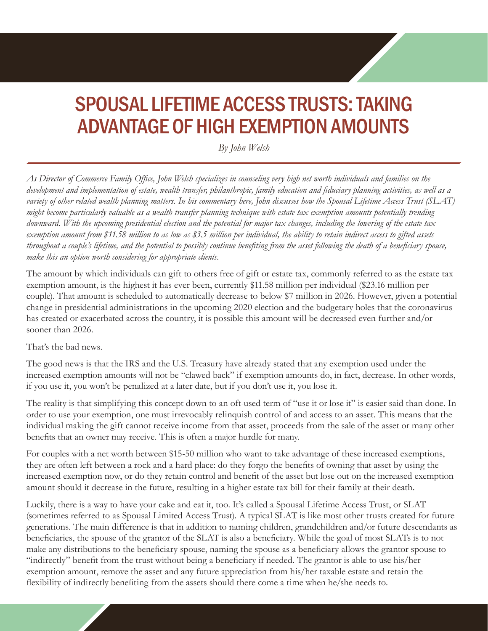## SPOUSAL LIFETIME ACCESS TRUSTS: TAKING ADVANTAGE OF HIGH EXEMPTION AMOUNTS

*By John Welsh*

*As Director of Commerce Family Office, John Welsh specializes in counseling very high net worth individuals and families on the development and implementation of estate, wealth transfer, philanthropic, family education and fiduciary planning activities, as well as a variety of other related wealth planning matters. In his commentary here, John discusses how the Spousal Lifetime Access Trust (SLAT) might become particularly valuable as a wealth transfer planning technique with estate tax exemption amounts potentially trending downward. With the upcoming presidential election and the potential for major tax changes, including the lowering of the estate tax exemption amount from \$11.58 million to as low as \$3.5 million per individual, the ability to retain indirect access to gifted assets throughout a couple's lifetime, and the potential to possibly continue benefiting from the asset following the death of a beneficiary spouse, make this an option worth considering for appropriate clients.*

The amount by which individuals can gift to others free of gift or estate tax, commonly referred to as the estate tax exemption amount, is the highest it has ever been, currently \$11.58 million per individual (\$23.16 million per couple). That amount is scheduled to automatically decrease to below \$7 million in 2026. However, given a potential change in presidential administrations in the upcoming 2020 election and the budgetary holes that the coronavirus has created or exacerbated across the country, it is possible this amount will be decreased even further and/or sooner than 2026.

That's the bad news.

The good news is that the IRS and the U.S. Treasury have already stated that any exemption used under the increased exemption amounts will not be "clawed back" if exemption amounts do, in fact, decrease. In other words, if you use it, you won't be penalized at a later date, but if you don't use it, you lose it.

The reality is that simplifying this concept down to an oft-used term of "use it or lose it" is easier said than done. In order to use your exemption, one must irrevocably relinquish control of and access to an asset. This means that the individual making the gift cannot receive income from that asset, proceeds from the sale of the asset or many other benefits that an owner may receive. This is often a major hurdle for many.

For couples with a net worth between \$15-50 million who want to take advantage of these increased exemptions, they are often left between a rock and a hard place: do they forgo the benefits of owning that asset by using the increased exemption now, or do they retain control and benefit of the asset but lose out on the increased exemption amount should it decrease in the future, resulting in a higher estate tax bill for their family at their death.

Luckily, there is a way to have your cake and eat it, too. It's called a Spousal Lifetime Access Trust, or SLAT (sometimes referred to as Spousal Limited Access Trust). A typical SLAT is like most other trusts created for future generations. The main difference is that in addition to naming children, grandchildren and/or future descendants as beneficiaries, the spouse of the grantor of the SLAT is also a beneficiary. While the goal of most SLATs is to not make any distributions to the beneficiary spouse, naming the spouse as a beneficiary allows the grantor spouse to "indirectly" benefit from the trust without being a beneficiary if needed. The grantor is able to use his/her exemption amount, remove the asset and any future appreciation from his/her taxable estate and retain the flexibility of indirectly benefiting from the assets should there come a time when he/she needs to.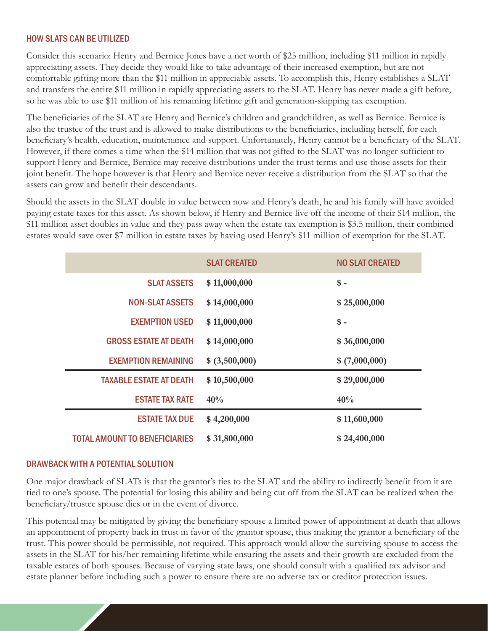## HOW SLATS CAN BE UTILIZED

Consider this scenario: Henry and Bernice Jones have a net worth of \$25 million, including \$11 million in rapidly appreciating assets. They decide they would like to take advantage of their increased exemption, but are not comfortable gifting more than the \$11 million in appreciable assets. To accomplish this, Henry establishes a SLAT and transfers the entire \$11 million in rapidly appreciating assets to the SLAT. Henry has never made a gift before, so he was able to use \$11 million of his remaining lifetime gift and generation-skipping tax exemption.

The beneficiaries of the SLAT are Henry and Bernice's children and grandchildren, as well as Bernice. Bernice is also the trustee of the trust and is allowed to make distributions to the beneficiaries, including herself, for each beneficiary's health, education, maintenance and support. Unfortunately, Henry cannot be a beneficiary of the SLAT. However, if there comes a time when the \$14 million that was not gifted to the SLAT was no longer sufficient to support Henry and Bernice, Bernice may receive distributions under the trust terms and use those assets for their joint benefit. The hope however is that Henry and Bernice never receive a distribution from the SLAT so that the assets can grow and benefit their descendants.

Should the assets in the SLAT double in value between now and Henry's death, he and his family will have avoided paying estate taxes for this asset. As shown below, if Henry and Bernice live off the income of their \$14 million, the \$11 million asset doubles in value and they pass away when the estate tax exemption is \$3.5 million, their combined estates would save over \$7 million in estate taxes by having used Henry's \$11 million of exemption for the SLAT.

|                                      | <b>SLAT CREATED</b> | <b>NO SLAT CREATED</b> |
|--------------------------------------|---------------------|------------------------|
| <b>SLAT ASSETS</b>                   | \$11,000,000        | $\mathsf{\$}$ -        |
| <b>NON-SLAT ASSETS</b>               | \$14,000,000        | \$25,000,000           |
| <b>EXEMPTION USED</b>                | \$11,000,000        | $$ -$                  |
| <b>GROSS ESTATE AT DEATH</b>         | \$14,000,000        | \$36,000,000           |
| <b>EXEMPTION REMAINING</b>           | \$ (3,500,000)      | \$(7,000,000)          |
| <b>TAXABLE ESTATE AT DEATH</b>       | \$10,500,000        | \$29,000,000           |
| <b>ESTATE TAX RATE</b>               | 40%                 | 40%                    |
| <b>ESTATE TAX DUE</b>                | \$4,200,000         | \$11,600,000           |
| <b>TOTAL AMOUNT TO BENEFICIARIES</b> | \$31,800,000        | \$24,400,000           |

## DRAWBACK WITH A POTENTIAL SOLUTION

One major drawback of SLATs is that the grantor's ties to the SLAT and the ability to indirectly benefit from it are tied to one's spouse. The potential for losing this ability and being cut off from the SLAT can be realized when the beneficiary/trustee spouse dies or in the event of divorce.

This potential may be mitigated by giving the beneficiary spouse a limited power of appointment at death that allows an appointment of property back in trust in favor of the grantor spouse, thus making the grantor a beneficiary of the trust. This power should be permissible, not required. This approach would allow the surviving spouse to access the assets in the SLAT for his/her remaining lifetime while ensuring the assets and their growth are excluded from the taxable estates of both spouses. Because of varying state laws, one should consult with a qualified tax advisor and estate planner before including such a power to ensure there are no adverse tax or creditor protection issues.